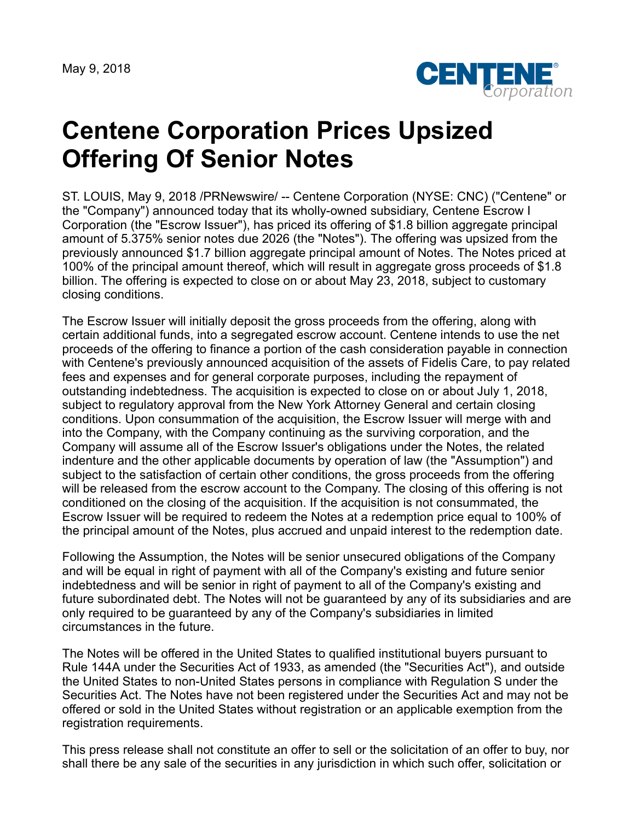May 9, 2018



## **Centene Corporation Prices Upsized Offering Of Senior Notes**

ST. LOUIS, May 9, 2018 /PRNewswire/ -- Centene Corporation (NYSE: CNC) ("Centene" or the "Company") announced today that its wholly-owned subsidiary, Centene Escrow I Corporation (the "Escrow Issuer"), has priced its offering of \$1.8 billion aggregate principal amount of 5.375% senior notes due 2026 (the "Notes"). The offering was upsized from the previously announced \$1.7 billion aggregate principal amount of Notes. The Notes priced at 100% of the principal amount thereof, which will result in aggregate gross proceeds of \$1.8 billion. The offering is expected to close on or about May 23, 2018, subject to customary closing conditions.

The Escrow Issuer will initially deposit the gross proceeds from the offering, along with certain additional funds, into a segregated escrow account. Centene intends to use the net proceeds of the offering to finance a portion of the cash consideration payable in connection with Centene's previously announced acquisition of the assets of Fidelis Care, to pay related fees and expenses and for general corporate purposes, including the repayment of outstanding indebtedness. The acquisition is expected to close on or about July 1, 2018, subject to regulatory approval from the New York Attorney General and certain closing conditions. Upon consummation of the acquisition, the Escrow Issuer will merge with and into the Company, with the Company continuing as the surviving corporation, and the Company will assume all of the Escrow Issuer's obligations under the Notes, the related indenture and the other applicable documents by operation of law (the "Assumption") and subject to the satisfaction of certain other conditions, the gross proceeds from the offering will be released from the escrow account to the Company. The closing of this offering is not conditioned on the closing of the acquisition. If the acquisition is not consummated, the Escrow Issuer will be required to redeem the Notes at a redemption price equal to 100% of the principal amount of the Notes, plus accrued and unpaid interest to the redemption date.

Following the Assumption, the Notes will be senior unsecured obligations of the Company and will be equal in right of payment with all of the Company's existing and future senior indebtedness and will be senior in right of payment to all of the Company's existing and future subordinated debt. The Notes will not be guaranteed by any of its subsidiaries and are only required to be guaranteed by any of the Company's subsidiaries in limited circumstances in the future.

The Notes will be offered in the United States to qualified institutional buyers pursuant to Rule 144A under the Securities Act of 1933, as amended (the "Securities Act"), and outside the United States to non-United States persons in compliance with Regulation S under the Securities Act. The Notes have not been registered under the Securities Act and may not be offered or sold in the United States without registration or an applicable exemption from the registration requirements.

This press release shall not constitute an offer to sell or the solicitation of an offer to buy, nor shall there be any sale of the securities in any jurisdiction in which such offer, solicitation or